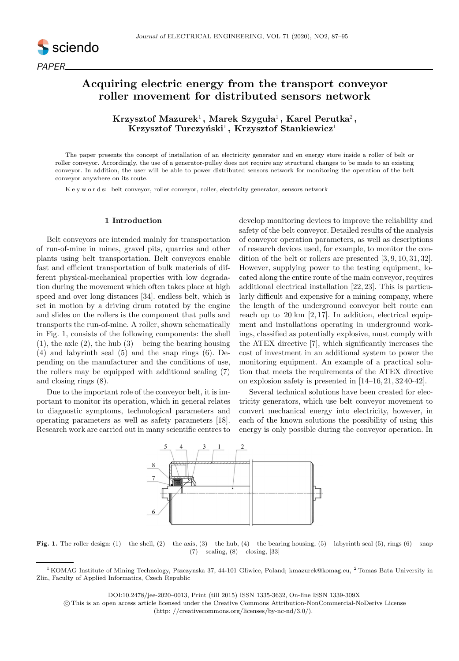

# Acquiring electric energy from the transport conveyor roller movement for distributed sensors network

Krzysztof Mazurek $^1,$  Marek Szyguła $^1,$  Karel Perutka $^2,$ Krzysztof Turczyński<sup>1</sup>, Krzysztof Stankiewicz<sup>1</sup>

The paper presents the concept of installation of an electricity generator and en energy store inside a roller of belt or roller conveyor. Accordingly, the use of a generator-pulley does not require any structural changes to be made to an existing conveyor. In addition, the user will be able to power distributed sensors network for monitoring the operation of the belt conveyor anywhere on its route.

K e y w o r d s: belt conveyor, roller conveyor, roller, electricity generator, sensors network

## 1 Introduction

Belt conveyors are intended mainly for transportation of run-of-mine in mines, gravel pits, quarries and other plants using belt transportation. Belt conveyors enable fast and efficient transportation of bulk materials of different physical-mechanical properties with low degradation during the movement which often takes place at high speed and over long distances [34]. endless belt, which is set in motion by a driving drum rotated by the engine and slides on the rollers is the component that pulls and transports the run-of-mine. A roller, shown schematically in Fig. 1, consists of the following components: the shell  $(1)$ , the axle  $(2)$ , the hub  $(3)$  – being the bearing housing (4) and labyrinth seal (5) and the snap rings (6). Depending on the manufacturer and the conditions of use, the rollers may be equipped with additional sealing (7) and closing rings (8).

Due to the important role of the conveyor belt, it is important to monitor its operation, which in general relates to diagnostic symptoms, technological parameters and operating parameters as well as safety parameters [18]. Research work are carried out in many scientific centres to develop monitoring devices to improve the reliability and safety of the belt conveyor. Detailed results of the analysis of conveyor operation parameters, as well as descriptions of research devices used, for example, to monitor the condition of the belt or rollers are presented [3, 9, 10, 31, 32]. However, supplying power to the testing equipment, located along the entire route of the main conveyor, requires additional electrical installation [22, 23]. This is particularly difficult and expensive for a mining company, where the length of the underground conveyor belt route can reach up to  $20 \text{ km}$  [2, 17]. In addition, electrical equipment and installations operating in underground workings, classified as potentially explosive, must comply with the ATEX directive [7], which significantly increases the cost of investment in an additional system to power the monitoring equipment. An example of a practical solution that meets the requirements of the ATEX directive on explosion safety is presented in [14–16, 21, 32 40-42].

Several technical solutions have been created for electricity generators, which use belt conveyor movement to convert mechanical energy into electricity, however, in each of the known solutions the possibility of using this energy is only possible during the conveyor operation. In



Fig. 1. The roller design:  $(1)$  – the shell,  $(2)$  – the axis,  $(3)$  – the hub,  $(4)$  – the bearing housing,  $(5)$  – labyrinth seal  $(5)$ , rings  $(6)$  – snap  $(7)$  – sealing,  $(8)$  – closing,  $[33]$ 

DOI:10.2478/jee-2020–0013, Print (till 2015) ISSN 1335-3632, On-line ISSN 1339-309X

 c This is an open access article licensed under the Creative Commons Attribution-NonCommercial-NoDerivs License (http: //creativecommons.org/licenses/by-nc-nd/3.0/).

<sup>&</sup>lt;sup>1</sup> KOMAG Institute of Mining Technology, Pszczynska 37, 44-101 Gliwice, Poland; kmazurek@komag.eu, <sup>2</sup> Tomas Bata University in Zlin, Faculty of Applied Informatics, Czech Republic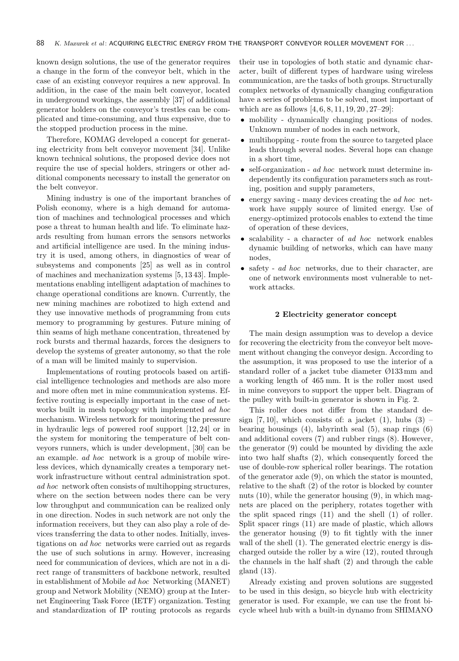known design solutions, the use of the generator requires a change in the form of the conveyor belt, which in the case of an existing conveyor requires a new approval. In addition, in the case of the main belt conveyor, located in underground workings, the assembly [37] of additional generator holders on the conveyor's trestles can be complicated and time-consuming, and thus expensive, due to the stopped production process in the mine.

Therefore, KOMAG developed a concept for generating electricity from belt conveyor movement [34]. Unlike known technical solutions, the proposed device does not require the use of special holders, stringers or other additional components necessary to install the generator on the belt conveyor.

Mining industry is one of the important branches of Polish economy, where is a high demand for automation of machines and technological processes and which pose a threat to human health and life. To eliminate hazards resulting from human errors the sensors networks and artificial intelligence are used. In the mining industry it is used, among others, in diagnostics of wear of subsystems and components [25] as well as in control of machines and mechanization systems [5, 13 43]. Implementations enabling intelligent adaptation of machines to change operational conditions are known. Currently, the new mining machines are robotized to high extend and they use innovative methods of programming from cuts memory to programming by gestures. Future mining of thin seams of high methane concentration, threatened by rock bursts and thermal hazards, forces the designers to develop the systems of greater autonomy, so that the role of a man will be limited mainly to supervision.

Implementations of routing protocols based on artificial intelligence technologies and methods are also more and more often met in mine communication systems. Effective routing is especially important in the case of networks built in mesh topology with implemented ad hoc mechanism. Wireless network for monitoring the pressure in hydraulic legs of powered roof support [12, 24] or in the system for monitoring the temperature of belt conveyors runners, which is under development, [30] can be an example. ad hoc network is a group of mobile wireless devices, which dynamically creates a temporary network infrastructure without central administration spot. ad hoc network often consists of multihopping structures. where on the section between nodes there can be very low throughput and communication can be realized only in one direction. Nodes in such network are not only the information receivers, but they can also play a role of devices transferring the data to other nodes. Initially, investigations on ad hoc networks were carried out as regards the use of such solutions in army. However, increasing need for communication of devices, which are not in a direct range of transmitters of backbone network, resulted in establishment of Mobile ad hoc Networking (MANET) group and Network Mobility (NEMO) group at the Internet Engineering Task Force (IETF) organization. Testing and standardization of IP routing protocols as regards

their use in topologies of both static and dynamic character, built of different types of hardware using wireless communication, are the tasks of both groups. Structurally complex networks of dynamically changing configuration have a series of problems to be solved, most important of which are as follows  $[4, 6, 8, 11, 19, 20, 27-29]$ :

- mobility dynamically changing positions of nodes. Unknown number of nodes in each network,
- multihopping route from the source to targeted place leads through several nodes. Several hops can change in a short time,
- self-organization *ad hoc* network must determine independently its configuration parameters such as routing, position and supply parameters,
- energy saving many devices creating the *ad hoc* network have supply source of limited energy. Use of energy-optimized protocols enables to extend the time of operation of these devices,
- scalability a character of ad hoc network enables dynamic building of networks, which can have many nodes,
- safety ad hoc networks, due to their character, are one of network environments most vulnerable to network attacks.

## 2 Electricity generator concept

The main design assumption was to develop a device for recovering the electricity from the conveyor belt movement without changing the conveyor design. According to the assumption, it was proposed to use the interior of a standard roller of a jacket tube diameter Ø133 mm and a working length of 465 mm. It is the roller most used in mine conveyors to support the upper belt. Diagram of the pulley with built-in generator is shown in Fig. 2.

This roller does not differ from the standard design  $[7, 10]$ , which consists of: a jacket  $(1)$ , hubs  $(3)$  – bearing housings  $(4)$ , labyrinth seal  $(5)$ , snap rings  $(6)$ and additional covers (7) and rubber rings (8). However, the generator (9) could be mounted by dividing the axle into two half shafts (2), which consequently forced the use of double-row spherical roller bearings. The rotation of the generator axle (9), on which the stator is mounted, relative to the shaft (2) of the rotor is blocked by counter nuts (10), while the generator housing (9), in which magnets are placed on the periphery, rotates together with the split spaced rings (11) and the shell (1) of roller. Split spacer rings (11) are made of plastic, which allows the generator housing (9) to fit tightly with the inner wall of the shell (1). The generated electric energy is discharged outside the roller by a wire (12), routed through the channels in the half shaft (2) and through the cable gland (13).

Already existing and proven solutions are suggested to be used in this design, so bicycle hub with electricity generator is used. For example, we can use the front bicycle wheel hub with a built-in dynamo from SHIMANO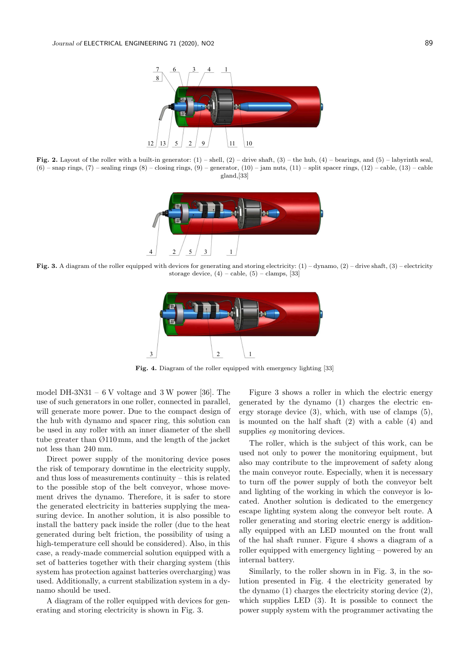

Fig. 2. Layout of the roller with a built-in generator:  $(1)$  – shell,  $(2)$  – drive shaft,  $(3)$  – the hub,  $(4)$  – bearings, and  $(5)$  – labyrinth seal,  $(6)$  – snap rings,  $(7)$  – sealing rings  $(8)$  – closing rings,  $(9)$  – generator,  $(10)$  – jam nuts,  $(11)$  – split spacer rings,  $(12)$  – cable,  $(13)$  – cable gland,[33]



Fig. 3. A diagram of the roller equipped with devices for generating and storing electricity:  $(1)$  – dynamo,  $(2)$  – drive shaft,  $(3)$  – electricity storage device,  $(4)$  – cable,  $(5)$  – clamps,  $[33]$ 



Fig. 4. Diagram of the roller equipped with emergency lighting [33]

model DH-3N31 –  $6$  V voltage and 3 W power [36]. The use of such generators in one roller, connected in parallel, will generate more power. Due to the compact design of the hub with dynamo and spacer ring, this solution can be used in any roller with an inner diameter of the shell tube greater than Ø110 mm, and the length of the jacket not less than 240 mm.

Direct power supply of the monitoring device poses the risk of temporary downtime in the electricity supply, and thus loss of measurements continuity – this is related to the possible stop of the belt conveyor, whose movement drives the dynamo. Therefore, it is safer to store the generated electricity in batteries supplying the measuring device. In another solution, it is also possible to install the battery pack inside the roller (due to the heat generated during belt friction, the possibility of using a high-temperature cell should be considered). Also, in this case, a ready-made commercial solution equipped with a set of batteries together with their charging system (this system has protection against batteries overcharging) was used. Additionally, a current stabilization system in a dynamo should be used.

A diagram of the roller equipped with devices for generating and storing electricity is shown in Fig. 3.

Figure 3 shows a roller in which the electric energy generated by the dynamo (1) charges the electric energy storage device (3), which, with use of clamps (5), is mounted on the half shaft (2) with a cable (4) and supplies *eq* monitoring devices.

The roller, which is the subject of this work, can be used not only to power the monitoring equipment, but also may contribute to the improvement of safety along the main conveyor route. Especially, when it is necessary to turn off the power supply of both the conveyor belt and lighting of the working in which the conveyor is located. Another solution is dedicated to the emergency escape lighting system along the conveyor belt route. A roller generating and storing electric energy is additionally equipped with an LED mounted on the front wall of the hal shaft runner. Figure 4 shows a diagram of a roller equipped with emergency lighting – powered by an internal battery.

Similarly, to the roller shown in in Fig. 3, in the solution presented in Fig. 4 the electricity generated by the dynamo (1) charges the electricity storing device (2), which supplies LED (3). It is possible to connect the power supply system with the programmer activating the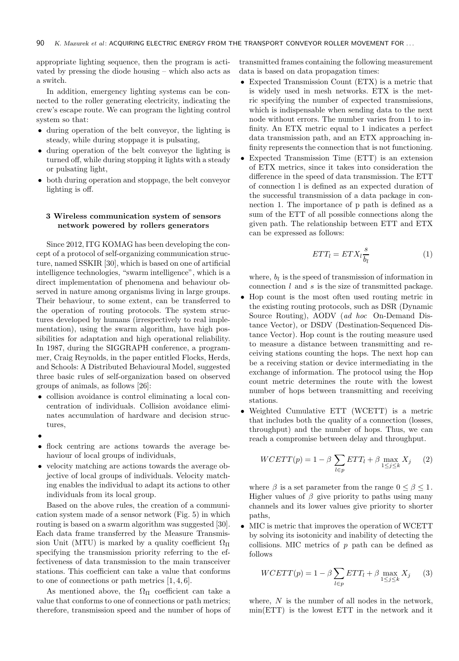appropriate lighting sequence, then the program is activated by pressing the diode housing – which also acts as a switch.

In addition, emergency lighting systems can be connected to the roller generating electricity, indicating the crew's escape route. We can program the lighting control system so that:

- during operation of the belt conveyor, the lighting is steady, while during stoppage it is pulsating,
- during operation of the belt conveyor the lighting is turned off, while during stopping it lights with a steady or pulsating light,
- both during operation and stoppage, the belt conveyor lighting is off.

## 3 Wireless communication system of sensors network powered by rollers generators

Since 2012, ITG KOMAG has been developing the concept of a protocol of self-organizing communication structure, named SSKIR [30], which is based on one of artificial intelligence technologies, "swarm intelligence", which is a direct implementation of phenomena and behaviour observed in nature among organisms living in large groups. Their behaviour, to some extent, can be transferred to the operation of routing protocols. The system structures developed by humans (irrespectively to real implementation), using the swarm algorithm, have high possibilities for adaptation and high operational reliability. In 1987, during the SIGGRAPH conference, a programmer, Craig Reynolds, in the paper entitled Flocks, Herds, and Schools: A Distributed Behavioural Model, suggested three basic rules of self-organization based on observed groups of animals, as follows [26]:

- collision avoidance is control eliminating a local concentration of individuals. Collision avoidance eliminates accumulation of hardware and decision structures,
- •
- flock centring are actions towards the average behaviour of local groups of individuals,
- velocity matching are actions towards the average objective of local groups of individuals. Velocity matching enables the individual to adapt its actions to other individuals from its local group.

Based on the above rules, the creation of a communication system made of a sensor network (Fig. 5) in which routing is based on a swarm algorithm was suggested [30]. Each data frame transferred by the Measure Transmission Unit (MTU) is marked by a quality coefficient  $\Omega_{\Pi}$ specifying the transmission priority referring to the effectiveness of data transmission to the main transceiver stations. This coefficient can take a value that conforms to one of connections or path metrics [1, 4, 6].

As mentioned above, the  $\Omega_{\Pi}$  coefficient can take a value that conforms to one of connections or path metrics; therefore, transmission speed and the number of hops of

transmitted frames containing the following measurement data is based on data propagation times:

- Expected Transmission Count (ETX) is a metric that is widely used in mesh networks. ETX is the metric specifying the number of expected transmissions, which is indispensable when sending data to the next node without errors. The number varies from 1 to infinity. An ETX metric equal to 1 indicates a perfect data transmission path, and an ETX approaching infinity represents the connection that is not functioning.
- Expected Transmission Time (ETT) is an extension of ETX metrics, since it takes into consideration the difference in the speed of data transmission. The ETT of connection l is defined as an expected duration of the successful transmission of a data package in connection 1. The importance of p path is defined as a sum of the ETT of all possible connections along the given path. The relationship between ETT and ETX can be expressed as follows:

$$
ETT_l = ETX_l \frac{s}{b_l} \tag{1}
$$

where,  $b_l$  is the speed of transmission of information in connection  $l$  and  $s$  is the size of transmitted package.

- Hop count is the most often used routing metric in the existing routing protocols, such as DSR (Dynamic Source Routing), AODV (ad hoc On-Demand Distance Vector), or DSDV (Destination-Sequenced Distance Vector). Hop count is the routing measure used to measure a distance between transmitting and receiving stations counting the hops. The next hop can be a receiving station or device intermediating in the exchange of information. The protocol using the Hop count metric determines the route with the lowest number of hops between transmitting and receiving stations.
- Weighted Cumulative ETT (WCETT) is a metric that includes both the quality of a connection (losses, throughput) and the number of hops. Thus, we can reach a compromise between delay and throughput.

$$
WCETT(p) = 1 - \beta \sum_{l \in p} ETT_l + \beta \max_{1 \le j \le k} X_j \qquad (2)
$$

where  $\beta$  is a set parameter from the range  $0 \leq \beta \leq 1$ . Higher values of  $\beta$  give priority to paths using many channels and its lower values give priority to shorter paths,

• MIC is metric that improves the operation of WCETT by solving its isotonicity and inability of detecting the collisions. MIC metrics of  $p$  path can be defined as follows

$$
WCETT(p) = 1 - \beta \sum_{l \in p} ETT_l + \beta \max_{1 \le j \le k} X_j \tag{3}
$$

where,  $N$  is the number of all nodes in the network, min(ETT) is the lowest ETT in the network and it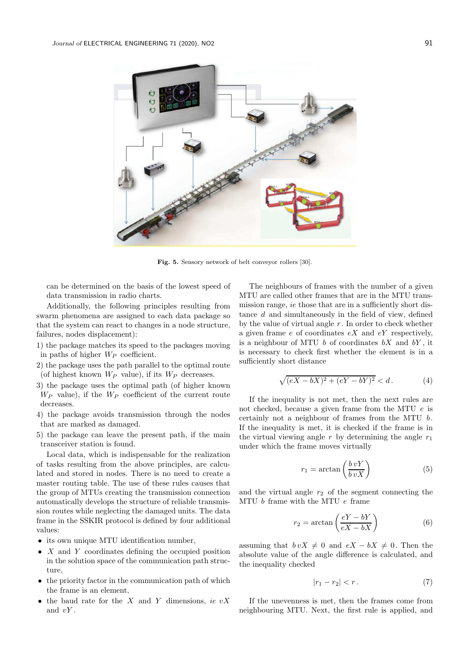

Fig. 5. Sensory network of belt conveyor rollers [30].

can be determined on the basis of the lowest speed of data transmission in radio charts.

Additionally, the following principles resulting from swarm phenomena are assigned to each data package so that the system can react to changes in a node structure, failures, nodes displacement):

- 1) the package matches its speed to the packages moving in paths of higher  $W_P$  coefficient.
- 2) the package uses the path parallel to the optimal route (of highest known  $W_P$  value), if its  $W_P$  decreases.
- 3) the package uses the optimal path (of higher known  $W_P$  value), if the  $W_P$  coefficient of the current route decreases.
- 4) the package avoids transmission through the nodes that are marked as damaged.
- 5) the package can leave the present path, if the main transceiver station is found.

Local data, which is indispensable for the realization of tasks resulting from the above principles, are calculated and stored in nodes. There is no need to create a master routing table. The use of these rules causes that the group of MTUs creating the transmission connection automatically develops the structure of reliable transmission routes while neglecting the damaged units. The data frame in the SSKIR protocol is defined by four additional values:

- its own unique MTU identification number,
- $X$  and  $Y$  coordinates defining the occupied position in the solution space of the communication path structure,
- the priority factor in the communication path of which the frame is an element,
- the baud rate for the X and Y dimensions, ie  $vX$ and  $vY$ .

The neighbours of frames with the number of a given MTU are called other frames that are in the MTU transmission range, ie those that are in a sufficiently short distance d and simultaneously in the field of view, defined by the value of virtual angle  $r$ . In order to check whether a given frame  $e$  of coordinates  $eX$  and  $eY$  respectively, is a neighbour of MTU  $b$  of coordinates  $bX$  and  $bY$ , it is necessary to check first whether the element is in a sufficiently short distance

$$
\sqrt{(eX - bX)^2 + (eY - bY)^2} < d. \tag{4}
$$

If the inequality is not met, then the next rules are not checked, because a given frame from the MTU e is certainly not a neighbour of frames from the MTU b. If the inequality is met, it is checked if the frame is in the virtual viewing angle  $r$  by determining the angle  $r_1$ under which the frame moves virtually

$$
r_1 = \arctan\left(\frac{b\,vY}{b\,vX}\right) \tag{5}
$$

and the virtual angle  $r_2$  of the segment connecting the MTU $b$  frame with the MTU  $e$  frame

$$
r_2 = \arctan\left(\frac{eY - bY}{eX - bX}\right) \tag{6}
$$

assuming that  $b vX \neq 0$  and  $eX - bX \neq 0$ . Then the absolute value of the angle difference is calculated, and the inequality checked

$$
|r_1 - r_2| < r \,. \tag{7}
$$

If the unevenness is met, then the frames come from neighbouring MTU. Next, the first rule is applied, and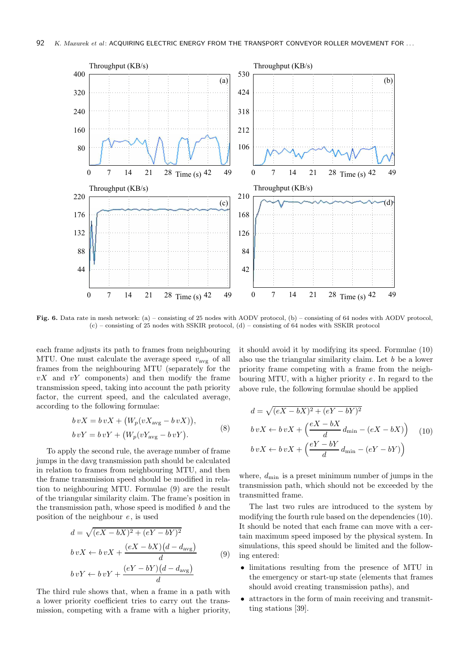

Fig. 6. Data rate in mesh network: (a) – consisting of 25 nodes with AODV protocol, (b) – consisting of 64 nodes with AODV protocol, (c) – consisting of 25 nodes with SSKIR protocol, (d) – consisting of 64 nodes with SSKIR protocol

each frame adjusts its path to frames from neighbouring MTU. One must calculate the average speed  $v_{\text{avg}}$  of all frames from the neighbouring MTU (separately for the  $vX$  and  $vY$  components) and then modify the frame transmission speed, taking into account the path priority factor, the current speed, and the calculated average, according to the following formulae:

$$
b vX = b vX + (W_p(vX_{avg} - b vX)),
$$
  
\n
$$
b vY = b vY + (W_p(vY_{avg} - b vY)).
$$
\n(8)

To apply the second rule, the average number of frame jumps in the davg transmission path should be calculated in relation to frames from neighbouring MTU, and then the frame transmission speed should be modified in relation to neighbouring MTU. Formulae (9) are the result of the triangular similarity claim. The frame's position in the transmission path, whose speed is modified  $b$  and the position of the neighbour e, is used

$$
d = \sqrt{(eX - bX)^2 + (eY - bY)^2}
$$
  
\n
$$
b vX \leftarrow b vX + \frac{(eX - bX)(d - d_{avg})}{d}
$$
  
\n
$$
b vY \leftarrow b vY + \frac{(eY - bY)(d - d_{avg})}{d}
$$
\n(9)

The third rule shows that, when a frame in a path with a lower priority coefficient tries to carry out the transmission, competing with a frame with a higher priority, it should avoid it by modifying its speed. Formulae (10) also use the triangular similarity claim. Let b be a lower priority frame competing with a frame from the neighbouring MTU, with a higher priority  $e$ . In regard to the above rule, the following formulae should be applied

$$
d = \sqrt{(eX - bX)^2 + (eY - bY)^2}
$$
  
\n
$$
b vX \leftarrow b vX + \left(\frac{eX - bX}{d} d_{\min} - (eX - bX)\right)
$$
 (10)  
\n
$$
b vX \leftarrow b vX + \left(\frac{eY - bY}{d} d_{\min} - (eY - bY)\right)
$$

where,  $d_{\min}$  is a preset minimum number of jumps in the transmission path, which should not be exceeded by the transmitted frame.

The last two rules are introduced to the system by modifying the fourth rule based on the dependencies (10). It should be noted that each frame can move with a certain maximum speed imposed by the physical system. In simulations, this speed should be limited and the following entered:

- limitations resulting from the presence of MTU in the emergency or start-up state (elements that frames should avoid creating transmission paths), and
- attractors in the form of main receiving and transmitting stations [39].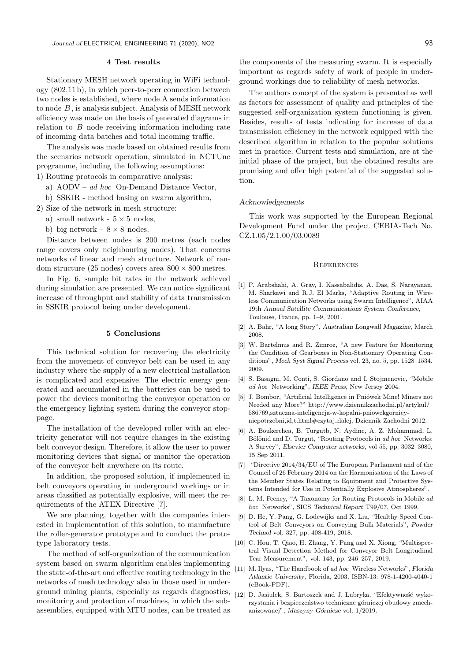#### 4 Test results

Stationary MESH network operating in WiFi technology (802.11 b), in which peer-to-peer connection between two nodes is established, where node A sends information to node  $B$ , is analysis subject. Analysis of MESH network efficiency was made on the basis of generated diagrams in relation to B node receiving information including rate of incoming data batches and total incoming traffic.

The analysis was made based on obtained results from the scenarios network operation, simulated in NCTUnc programme, including the following assumptions:

- 1) Routing protocols in comparative analysis:
	- a)  $AODV ad hoc$  On-Demand Distance Vector,
	- b) SSKIR method basing on swarm algorithm,
- 2) Size of the network in mesh structure:
	- a) small network  $5 \times 5$  nodes.
	- b) big network  $8 \times 8$  nodes.

Distance between nodes is 200 metres (each nodes range covers only neighbouring nodes). That concerns networks of linear and mesh structure. Network of random structure (25 nodes) covers area  $800 \times 800$  metres.

In Fig. 6, sample bit rates in the network achieved during simulation are presented. We can notice significant increase of throughput and stability of data transmission in SSKIR protocol being under development.

## 5 Conclusions

This technical solution for recovering the electricity from the movement of conveyor belt can be used in any industry where the supply of a new electrical installation is complicated and expensive. The electric energy generated and accumulated in the batteries can be used to power the devices monitoring the conveyor operation or the emergency lighting system during the conveyor stoppage.

The installation of the developed roller with an electricity generator will not require changes in the existing belt conveyor design. Therefore, it allow the user to power monitoring devices that signal or monitor the operation of the conveyor belt anywhere on its route.

In addition, the proposed solution, if implemented in belt conveyors operating in underground workings or in areas classified as potentially explosive, will meet the requirements of the ATEX Directive [7].

We are planning, together with the companies interested in implementation of this solution, to manufacture the roller-generator prototype and to conduct the prototype laboratory tests.

The method of self-organization of the communication system based on swarm algorithm enables implementing the state-of-the-art and effective routing technology in the networks of mesh technology also in those used in underground mining plants, especially as regards diagnostics, monitoring and protection of machines, in which the subassemblies, equipped with MTU nodes, can be treated as

the components of the measuring swarm. It is especially important as regards safety of work of people in underground workings due to reliability of mesh networks.

The authors concept of the system is presented as well as factors for assessment of quality and principles of the suggested self-organization system functioning is given. Besides, results of tests indicating for increase of data transmission efficiency in the network equipped with the described algorithm in relation to the popular solutions met in practice. Current tests and simulation, are at the initial phase of the project, but the obtained results are promising and offer high potential of the suggested solution.

#### Acknowledgements

This work was supported by the European Regional Development Fund under the project CEBIA-Tech No. CZ.1.05/2.1.00/03.0089

### **REFERENCES**

- [1] P. Arabshahi, A. Gray, I. Kassabalidis, A. Das, S. Narayanan, M. Sharkawi and R.J. El Marks, "Adaptive Routing in Wireless Communication Networks using Swarm Intelligence", AIAA 19th *Annual Satellite Communications System Conference*, Toulouse, France, pp. 1–9, 2001.
- [2] A. Bahr, "A long Story", *Australian Longwall Magazine*, March 2008.
- [3] W. Bartelmus and R. Zimroz, "A new Feature for Monitoring the Condition of Gearboxes in Non-Stationary Operating Conditions", *Mech Syst Signal Process* vol. 23, no. 5, pp. 1528–1534. 2009.
- [4] S. Basagni, M. Conti, S. Giordano and I. Stojmenovic, "Mobile ad hoc Networking", *IEEE Press*, New Jersey 2004.
- [5] J. Bombor, "Artificial Intelligence in Pniówek Mine! Miners not Needed any More?" http://www.dziennikzachodni.pl/artykul/ 586769,sztuczna-inteligencja-w-kopalni-pniowekgornicyniepotrzebni,id,t.html#czytaj dalej, Dziennik Zachodni 2012.
- [6] A. Boukerchea, B. Turgutb, N. Aydinc, A. Z. Mohammad, L. Bölönid and D. Turgut, "Routing Protocols in ad hoc Networks: A Survey", *Elsevier Computer networks*, vol 55, pp. 3032–3080, 15 Sep 2011.
- [7] "Directive 2014/34/EU of The European Parliament and of the Council of 26 February 2014 on the Harmonisation of the Laws of the Member States Relating to Equipment and Protective Systems Intended for Use in Potentially Explosive Atmospheres".
- [8] L. M. Feeney, "A Taxonomy for Routing Protocols in Mobile ad hoc Networks", SICS *Technical Report* T99/07, Oct 1999.
- [9] D. He, Y. Pang, G. Lodewijks and X. Liu, "Healthy Speed Control of Belt Conveyors on Conveying Bulk Materials", *Powder Technol* vol. 327, pp. 408-419, 2018.
- [10] C. Hou, T. Qiao, H. Zhang, Y. Pang and X. Xiong, "Multispectral Visual Detection Method for Conveyor Belt Longitudinal Tear Measurement", vol. 143, pp. 246–257, 2019.
- [11] M. Ilyas, "The Handbook of ad hoc Wireless Networks", *Florida Atlantic University*, Florida, 2003, ISBN-13: 978-1-4200-4040-1 (eBook-PDF).
- [12] D. Jasiulek, S. Bartoszek and J. Lubryka, "Efektywność wykorzystania i bezpieczeństwo techniczne górniczej obudowy zmechanizowanej", *Maszyny G´ornicze* vol. 1/2019.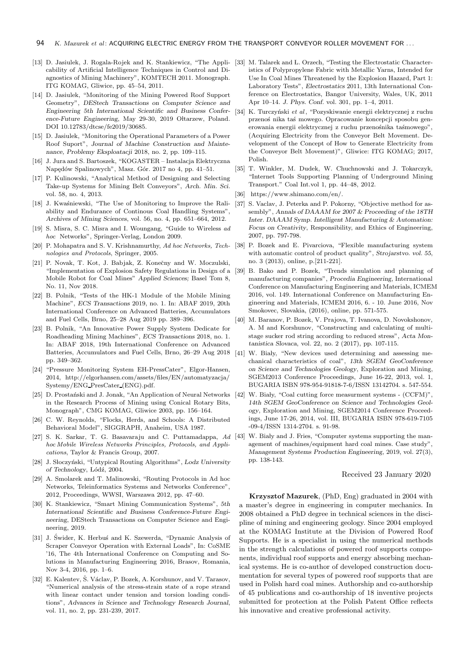- [13] D. Jasiulek, J. Rogala-Rojek and K. Stankiewicz, "The Appli-[33] M. Talarek and L. Orzech, "Testing the Electrostatic Charactercability of Artificial Intelligence Techniques in Control and Diagnostics of Mining Machinery", KOMTECH 2011. Monograph. ITG KOMAG, Gliwice, pp. 45–54, 2011.
- [14] D. Jasiulek, "Monitoring of the Mining Powered Roof Support Geometry", *DEStech Transactions on Computer Science and Engineering 5th International Scientific and Business Conference-Future Engineering*, May 29-30, 2019 Oltarzew, Poland. DOI 10.12783/dtcse/fe2019/30685.
- [15] D. Jasiulek, "Monitoring the Operational Parameters of a Power Roof Suport", *Journal of Machine Construction and Maintenance, Problemy Eksploatacji* 2018, no. 2, pp. 109–115.
- [16] J. Jura and S. Bartoszek, "KOGASTER Instalacja Elektryczna Napędów Spalinowych", Masz. Gór. 2017 no 4, pp. 41-51.
- [17] P. Kulinowski, "Analytical Method of Designing and Selecting Take-up Systems for Mining Belt Conveyors", *Arch. Min. Sci.* vol. 58, no. 4, 2013.
- [18] J. Kwaśniewski, "The Use of Monitoring to Improve the Raliability and Endurance of Continous Coal Handling Systems", *Archives of Mining Sciences*, vol. 56, no. 4, pp. 651–664, 2012.
- [19] S. Misra, S. C. Misra and I. Woungang, "Guide to Wireless ad hoc Networks", Springer-Verlag, London 2009.
- [20] P. Mohapatra and S. V. Krishnamurthy, Ad hoc Networks, Tech- [38] nologies and Protocols, Springer, 2005.
- [21] P. Novak, T. Kot, J. Babjak, Z. Konečny and W. Moczulski, "Implementation of Explosion Safety Regulations in Design of a Mobile Robot for Coal Mines" *Applied Sciences;* Basel Tom 8, No. 11, Nov 2018.
- [22] B. Polnik, "Tests of the HK-1 Module of the Mobile Mining Machine", *ECS Transactions* 2019, no. 1. In: ABAF 2019, 20th International Conference on Advanced Batteries, Accumulators and Fuel Cells, Brno, 25–28 Aug 2019 pp. 389–396.
- [23] B. Polnik, "An Innovative Power Supply System Dedicate for Roadheading Mining Machines", *ECS Transactions* 2018, no. 1. In: ABAF 2018, 19th International Conference on Advanced Batteries, Accumulators and Fuel Cells, Brno, 26–29 Aug 2018 pp. 349–362.
- [24] "Pressure Monitoring System EH-PressCater", Elgor-Hansen, 2014, http://elgorhansen.com/assets/files/EN/automatyzacja/ Systemy/ENG PresCater (ENG).pdf.
- [25] D. Prostański and J. Jonak, "An Application of Neural Networks" in the Research Process of Mining using Conical Rotary Bits, Monograph", CMG KOMAG, Gliwice 2003, pp. 156–164.
- [26] C. W. Reynolds, "Flocks, Herds, and Schools: A Distributed Behavioral Model", SIGGRAPH, Anaheim, USA 1987.
- [27] S. K. Sarkar, T. G. Basavaraju and C. Puttamadappa, Ad hoc Mobile Wireless Networks Principles, Protocols, and Applications, Taylor & Francis Group, 2007.
- [28] J. Słoczyński, "Untypical Routing Algorithms", *Lodz University of Technology*, L´od´z, 2004.
- [29] A. Smolarek and T. Malinowski, "Routing Protocols in Ad hoc Networks, Teleinformatics Systems and Networks Conference", 2012, Proceedings, WWSI, Warszawa 2012, pp. 47–60.
- [30] K. Stankiewicz, "Smart Mining Communication Systems", *5th International Scientific and Business Conference-Future Engineering*, DEStech Transactions on Computer Science and Engineering, 2019.
- [31] J. Świder, K. Herbuś and K. Szewerda, "Dynamic Analysis of Scraper Conveyor Operation with External Loads", In: CoSME '16, The 4th International Conference on Computing and Solutions in Manufacturing Engineering 2016, Brasov, Romania, Nov 3-4, 2016, pp. 1–6.
- [32] E. Kalentev, Š. Václav, P. Bozek, A. Korshunov, and V. Tarasov, "Numerical analysis of the stress-strain state of a rope strand with linear contact under tension and torsion loading conditions", *Advances in Science and Technology Research Journal*, vol. 11, no. 2, pp. 231-239, 2017.
- istics of Polypropylene Fabric with Metallic Yarns, Intended for Use In Coal Mines Threatened by the Explosion Hazard, Part 1: Laboratory Tests", *Electrostatics* 2011, 13th International Conference on Electrostatics, Bangor University, Wales, UK, 2011 Apr 10–14. *J. Phys. Conf.* vol. 301, pp. 1–4, 2011.
- [34] K. Turczyński et al, "Pozyskiwanie energii elektrycznej z ruchu przenoś nika taś mowego. Opracowanie koncepcji sposobu generowania energii elektrycznej z ruchu przenośnika taśmowego", (Acquiring Electricity from the Conveyor Belt Movement. Development of the Concept of How to Generate Electricity from the Conveyor Belt Movement)", Gliwice: ITG KOMAG; 2017, Polish.
- [35] T. Winkler, M. Dudek, W. Chuchnowski and J. Tokarczyk, "Internet Tools Supporting Planning of Underground Mining Transport." Coal Int.vol 1, pp. 44–48, 2012.
- [36] https://www.shimano.com/en/.
- [37] S. Vaclav, J. Peterka and P. Pokorny, "Objective method for assembly", *Annals of DAAAM for 2007 & Proceeding of the 18TH Inter. DAAAM Symp. Intelligent Manufacturing & Automation: Focus on Creativity*, Responsibility, and Ethics of Engineering, 2007, pp. 797-798.
	- [38] P. Bozek and E. Pivarciova, "Flexible manufacturing system with automatic control of product quality", *Strojarstvo. vol. 55*, no. 3 (2013), online, p.[211-221].
- [39] B. Bako and P. Bozek, "Trends simulation and planning of manufacturing companies", *Procedia Engineering*, International Conference on Manufacturing Engineering and Materials, ICMEM 2016, vol. 149. International Conference on Manufacturing Engineering and Materials, ICMEM 2016, 6. - 10. June 2016, Nov Smokovec, Slovakia, (2016), online, pp. 571-575.
- [40] M. Baranov, P. Bozek, V. Prajova, T. Ivanova, D. Novokshonov, A. M and Korshunov, "Constructing and calculating of multistage sucker rod string according to reduced stress", *Acta Montanistica Slovaca*, vol. 22, no. 2 (2017), pp. 107-115.
- [41] W. Biały, "New devices used determining and assessing mechanical characteristics of coal", *13th SGEM GeoConference on Science and Technologies Geology*, Exploration and Mining, SGEM2013 Conference Proceedings, June 16-22, 2013, vol. 1, BUGARIA ISBN 978-954-91818-7-6/ISSN 13142704. s. 547-554.
- [42] W. Biały, "Coal cutting force measurment systems (CCFM)". *14th SGEM GeoConference on Science and Technologies Geology*, Exploration and Mining, SGEM2014 Conference Proceedings, June 17-26, 2014, vol. III, BUGARIA ISBN 978-619-7105 -09-4/ISSN 1314-2704. s. 91-98.
	- W. Biały and J. Fries, "Computer systems supporting the management of machines/equipment hard coal mines. Case study", *Management Systems Production Engineering*, 2019, vol. 27(3), pp. 138-143.

#### Received 23 January 2020

Krzysztof Mazurek, (PhD, Eng) graduated in 2004 with a master's degree in engineering in computer mechanics. In 2008 obtained a PhD degree in technical sciences in the discipline of mining and engineering geology. Since 2004 employed at the KOMAG Institute at the Division of Powered Roof Supports. He is a specialist in using the numerical methods in the strength calculations of powered roof supports components, individual roof supports and energy absorbing mechanical systems. He is co-author of developed construction documentation for several types of powered roof supports that are used in Polish hard coal mines. Authorship and co-authorship of 45 publications and co-authorship of 18 inventive projects submitted for protection at the Polish Patent Office reflects his innovative and creative professional activity.